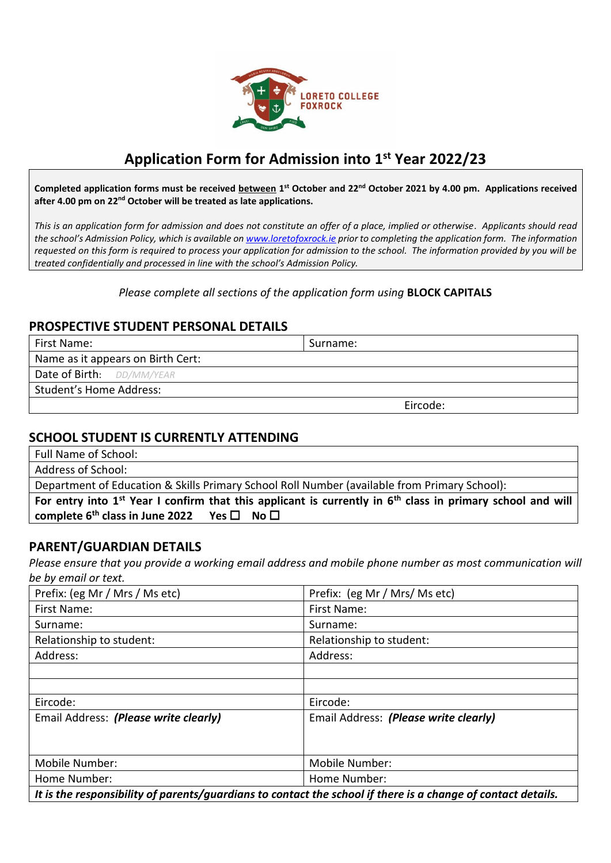

# **Application Form for Admission into 1st Year 2022/23**

Completed application forms must be received **between** 1<sup>st</sup> October and 22<sup>nd</sup> October 2021 by 4.00 pm. Applications received after 4.00 pm on 22<sup>nd</sup> October will be treated as late applications.

*This is an application form for admission and does not constitute an offer of a place, implied or otherwise. Applicants should read the school's Admission Policy, which is available on [www.loretofoxrock.ie](http://www.loretofoxrock.ie/) prior to completing the application form. The information requested on this form is required to process your application for admission to the school. The information provided by you will be treated confidentially and processed in line with the school's Admission Policy.*

## *Please complete all sections of the application form using* **BLOCK CAPITALS**

## **PROSPECTIVE STUDENT PERSONAL DETAILS**

| First Name:                       | Surname: |
|-----------------------------------|----------|
| Name as it appears on Birth Cert: |          |
| Date of Birth: DD/MM/YEAR         |          |
| Student's Home Address:           |          |
|                                   | Eircode: |

## **SCHOOL STUDENT IS CURRENTLY ATTENDING**

Full Name of School:

Address of School:

Department of Education & Skills Primary School Roll Number (available from Primary School):

|                                                                        | For entry into $1st$ Year I confirm that this applicant is currently in $6th$ class in primary school and will |  |
|------------------------------------------------------------------------|----------------------------------------------------------------------------------------------------------------|--|
| complete 6 <sup>th</sup> class in June 2022 Yes $\square$ No $\square$ |                                                                                                                |  |

## **PARENT/GUARDIAN DETAILS**

*Please ensure that you provide a working email address and mobile phone number as most communication will be by email or text.*

| Prefix: (eg Mr / Mrs / Ms etc)                                                                               | Prefix: (eg Mr / Mrs/ Ms etc)         |  |
|--------------------------------------------------------------------------------------------------------------|---------------------------------------|--|
| First Name:                                                                                                  | First Name:                           |  |
| Surname:                                                                                                     | Surname:                              |  |
| Relationship to student:                                                                                     | Relationship to student:              |  |
| Address:                                                                                                     | Address:                              |  |
|                                                                                                              |                                       |  |
|                                                                                                              |                                       |  |
| Eircode:                                                                                                     | Eircode:                              |  |
| Email Address: (Please write clearly)                                                                        | Email Address: (Please write clearly) |  |
|                                                                                                              |                                       |  |
|                                                                                                              |                                       |  |
| Mobile Number:                                                                                               | Mobile Number:                        |  |
| Home Number:                                                                                                 | Home Number:                          |  |
| It is the responsibility of parents/guardians to contact the school if there is a change of contact details. |                                       |  |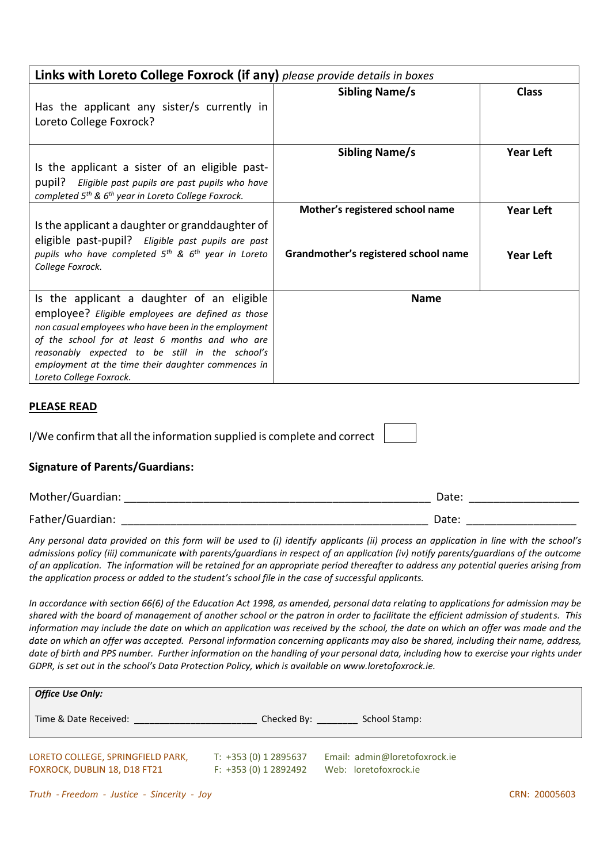| Links with Loreto College Foxrock (if any) please provide details in boxes                                                                                                                                                                                                                                                                     |                                                                         |                                      |  |
|------------------------------------------------------------------------------------------------------------------------------------------------------------------------------------------------------------------------------------------------------------------------------------------------------------------------------------------------|-------------------------------------------------------------------------|--------------------------------------|--|
| Has the applicant any sister/s currently in<br>Loreto College Foxrock?                                                                                                                                                                                                                                                                         | <b>Sibling Name/s</b>                                                   | <b>Class</b>                         |  |
| Is the applicant a sister of an eligible past-<br>pupil? Eligible past pupils are past pupils who have<br>completed 5 <sup>th</sup> & 6 <sup>th</sup> year in Loreto College Foxrock.                                                                                                                                                          | <b>Sibling Name/s</b>                                                   | <b>Year Left</b>                     |  |
| Is the applicant a daughter or granddaughter of<br>eligible past-pupil? Eligible past pupils are past<br>pupils who have completed $5^{th}$ & $6^{th}$ year in Loreto<br>College Foxrock.                                                                                                                                                      | Mother's registered school name<br>Grandmother's registered school name | <b>Year Left</b><br><b>Year Left</b> |  |
| Is the applicant a daughter of an eligible<br>employee? Eligible employees are defined as those<br>non casual employees who have been in the employment<br>of the school for at least 6 months and who are<br>reasonably expected to be still in the school's<br>employment at the time their daughter commences in<br>Loreto College Foxrock. | <b>Name</b>                                                             |                                      |  |

## **PLEASE READ**

|  | I/We confirm that all the information supplied is complete and correct |  |
|--|------------------------------------------------------------------------|--|
|--|------------------------------------------------------------------------|--|

## **Signature of Parents/Guardians:**

| Mother/Guardian: | Date: |  |
|------------------|-------|--|
| Father/Guardian: | Date: |  |

*Any personal data provided on this form will be used to (i) identify applicants (ii) process an application in line with the school's admissions policy (iii) communicate with parents/guardians in respect of an application (iv) notify parents/guardians of the outcome of an application. The information will be retained for an appropriate period thereafter to address any potential queries arising from the application process or added to the student's school file in the case of successful applicants.*

*In accordance with section 66(6) of the Education Act 1998, as amended, personal data relating to applications for admission may be shared with the board of management of another school or the patron in order to facilitate the efficient admission of students. This information may include the date on which an application was received by the school, the date on which an offer was made and the date on which an offer was accepted. Personal information concerning applicants may also be shared, including their name, address, date of birth and PPS number. Further information on the handling of your personal data, including how to exercise your rights under GDPR, is set out in the school's Data Protection Policy, which is available on www.loretofoxrock.ie.*

| <b>Office Use Only:</b>                                           |                                                 |                                                        |  |
|-------------------------------------------------------------------|-------------------------------------------------|--------------------------------------------------------|--|
| Time & Date Received:                                             | Checked By:                                     | School Stamp:                                          |  |
| LORETO COLLEGE, SPRINGFIELD PARK,<br>FOXROCK, DUBLIN 18, D18 FT21 | T: +353 (0) 1 2895637<br>$F: +353(0) 1 2892492$ | Email: admin@loretofoxrock.ie<br>Web: loretofoxrock.ie |  |